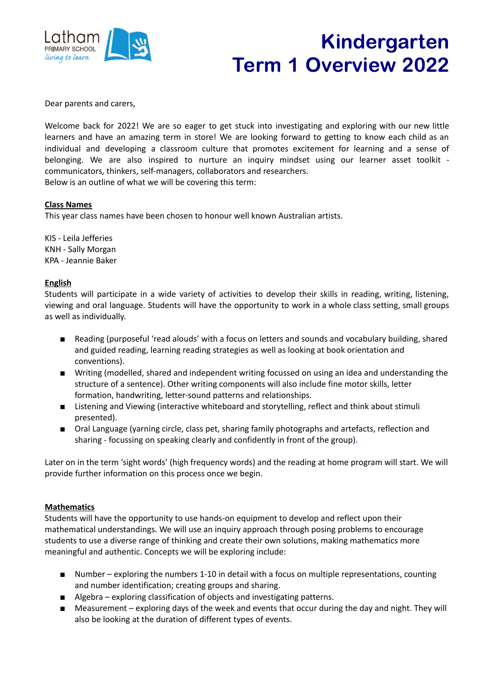

## Kindergarten Term 1 Overview 2022

Dear parents and carers,

Welcome back for 2022! We are so eager to get stuck into investigating and exploring with our new little learners and have an amazing term in store! We are looking forward to getting to know each child as an individual and developing a classroom culture that promotes excitement for learning and a sense of belonging. We are also inspired to nurture an inquiry mindset using our learner asset toolkit communicators, thinkers, self-managers, collaborators and researchers. Below is an outline of what we will be covering this term:

## **Class Names**

This year class names have been chosen to honour well known Australian artists.

KIS - Leila Jefferies KNH - Sally Morgan KPA - Jeannie Baker

## **English**

Students will participate in a wide variety of activities to develop their skills in reading, writing, listening, viewing and oral language. Students will have the opportunity to work in a whole class setting, small groups as well as individually.

- Reading (purposeful 'read alouds' with a focus on letters and sounds and vocabulary building, shared and guided reading, learning reading strategies as well as looking at book orientation and conventions).
- Writing (modelled, shared and independent writing focussed on using an idea and understanding the structure of a sentence). Other writing components will also include fine motor skills, letter formation, handwriting, letter-sound patterns and relationships.
- Listening and Viewing (interactive whiteboard and storytelling, reflect and think about stimuli presented).
- Oral Language (yarning circle, class pet, sharing family photographs and artefacts, reflection and sharing - focussing on speaking clearly and confidently in front of the group).

Later on in the term 'sight words' (high frequency words) and the reading at home program will start. We will provide further information on this process once we begin.

## **Mathematics**

Students will have the opportunity to use hands-on equipment to develop and reflect upon their mathematical understandings. We will use an inquiry approach through posing problems to encourage students to use a diverse range of thinking and create their own solutions, making mathematics more meaningful and authentic. Concepts we will be exploring include:

- Number exploring the numbers 1-10 in detail with a focus on multiple representations, counting and number identification; creating groups and sharing.
- Algebra exploring classification of objects and investigating patterns.
- Measurement exploring days of the week and events that occur during the day and night. They will also be looking at the duration of different types of events.